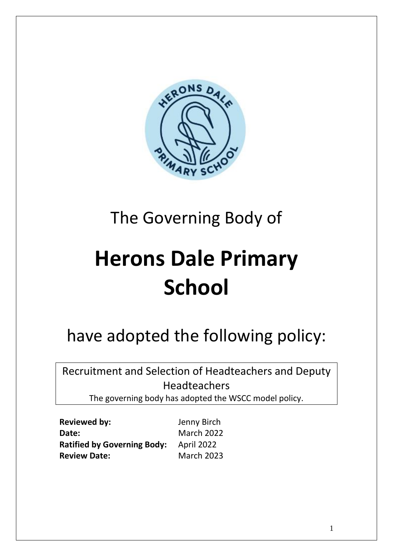

# The Governing Body of

# **Herons Dale Primary School**

# have adopted the following policy:

Recruitment and Selection of Headteachers and Deputy Headteachers

The governing body has adopted the WSCC model policy.

**Reviewed by:** Jenny Birch Date: March 2022 **Ratified by Governing Body:** April 2022 **Review Date:** March 2023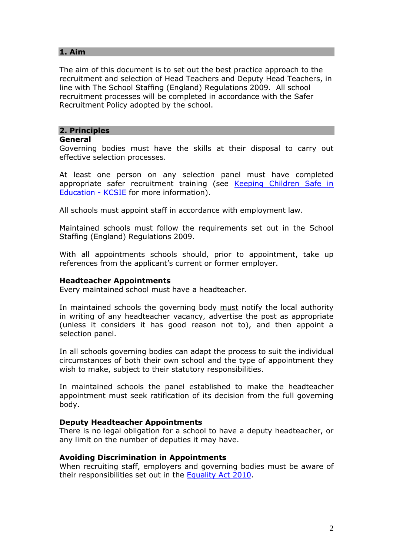# **1. Aim**

The aim of this document is to set out the best practice approach to the recruitment and selection of Head Teachers and Deputy Head Teachers, in line with The School Staffing (England) Regulations 2009. All school recruitment processes will be completed in accordance with the Safer Recruitment Policy adopted by the school.

## **2. Principles**

#### **General**

Governing bodies must have the skills at their disposal to carry out effective selection processes.

At least one person on any selection panel must have completed appropriate safer recruitment training (see Keeping Children Safe in [Education -](https://www.gov.uk/government/publications/keeping-children-safe-in-education--2) KCSIE for more information).

All schools must appoint staff in accordance with employment law.

Maintained schools must follow the requirements set out in the School Staffing (England) Regulations 2009.

With all appointments schools should, prior to appointment, take up references from the applicant's current or former employer.

#### **Headteacher Appointments**

Every maintained school must have a headteacher.

In maintained schools the governing body must notify the local authority in writing of any headteacher vacancy, advertise the post as appropriate (unless it considers it has good reason not to), and then appoint a selection panel.

In all schools governing bodies can adapt the process to suit the individual circumstances of both their own school and the type of appointment they wish to make, subject to their statutory responsibilities.

In maintained schools the panel established to make the headteacher appointment must seek ratification of its decision from the full governing body.

## **Deputy Headteacher Appointments**

There is no legal obligation for a school to have a deputy headteacher, or any limit on the number of deputies it may have.

#### **Avoiding Discrimination in Appointments**

When recruiting staff, employers and governing bodies must be aware of their responsibilities set out in the [Equality Act 2010.](https://www.gov.uk/guidance/equality-act-2010-guidance)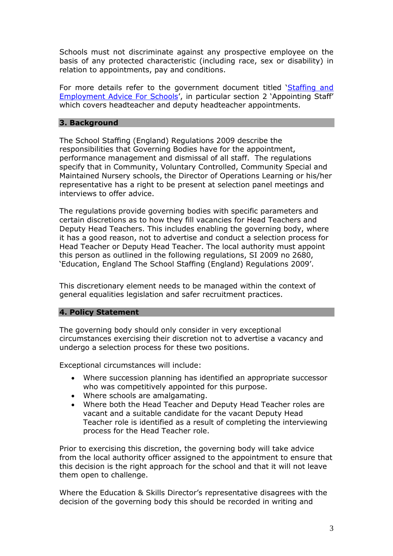Schools must not discriminate against any prospective employee on the basis of any protected characteristic (including race, sex or disability) in relation to appointments, pay and conditions.

For more details refer to the government document titled '[Staffing and](https://assets.publishing.service.gov.uk/government/uploads/system/uploads/attachment_data/file/1026591/Staff_Advice_Handbook_Update_-_October_2021.pdf)  [Employment Advice For Schools](https://assets.publishing.service.gov.uk/government/uploads/system/uploads/attachment_data/file/1026591/Staff_Advice_Handbook_Update_-_October_2021.pdf)', in particular section 2 'Appointing Staff' which covers headteacher and deputy headteacher appointments.

### **3. Background**

The School Staffing (England) Regulations 2009 describe the responsibilities that Governing Bodies have for the appointment, performance management and dismissal of all staff. The regulations specify that in Community, Voluntary Controlled, Community Special and Maintained Nursery schools, the Director of Operations Learning or his/her representative has a right to be present at selection panel meetings and interviews to offer advice.

The regulations provide governing bodies with specific parameters and certain discretions as to how they fill vacancies for Head Teachers and Deputy Head Teachers. This includes enabling the governing body, where it has a good reason, not to advertise and conduct a selection process for Head Teacher or Deputy Head Teacher. The local authority must appoint this person as outlined in the following regulations, SI 2009 no 2680, 'Education, England The School Staffing (England) Regulations 2009'.

This discretionary element needs to be managed within the context of general equalities legislation and safer recruitment practices.

#### **4. Policy Statement**

The governing body should only consider in very exceptional circumstances exercising their discretion not to advertise a vacancy and undergo a selection process for these two positions.

Exceptional circumstances will include:

- Where succession planning has identified an appropriate successor who was competitively appointed for this purpose.
- Where schools are amalgamating.
- Where both the Head Teacher and Deputy Head Teacher roles are vacant and a suitable candidate for the vacant Deputy Head Teacher role is identified as a result of completing the interviewing process for the Head Teacher role.

Prior to exercising this discretion, the governing body will take advice from the local authority officer assigned to the appointment to ensure that this decision is the right approach for the school and that it will not leave them open to challenge.

Where the Education & Skills Director's representative disagrees with the decision of the governing body this should be recorded in writing and